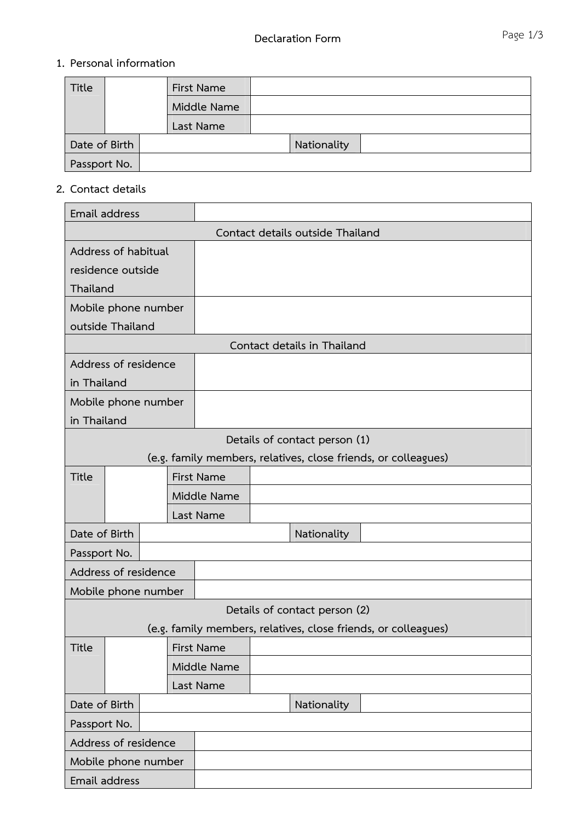## **1. Personal information**

| Title         |  |  | First Name  |             |  |
|---------------|--|--|-------------|-------------|--|
|               |  |  | Middle Name |             |  |
|               |  |  | Last Name   |             |  |
| Date of Birth |  |  |             | Nationality |  |
| Passport No.  |  |  |             |             |  |

## **2. Contact details**

|                                  | Email address                 |  |             |                   |  |                               |                                                                |
|----------------------------------|-------------------------------|--|-------------|-------------------|--|-------------------------------|----------------------------------------------------------------|
| Contact details outside Thailand |                               |  |             |                   |  |                               |                                                                |
| Address of habitual              |                               |  |             |                   |  |                               |                                                                |
|                                  | residence outside             |  |             |                   |  |                               |                                                                |
| Thailand                         |                               |  |             |                   |  |                               |                                                                |
|                                  | Mobile phone number           |  |             |                   |  |                               |                                                                |
|                                  | outside Thailand              |  |             |                   |  |                               |                                                                |
| Contact details in Thailand      |                               |  |             |                   |  |                               |                                                                |
|                                  | Address of residence          |  |             |                   |  |                               |                                                                |
| in Thailand                      |                               |  |             |                   |  |                               |                                                                |
|                                  | Mobile phone number           |  |             |                   |  |                               |                                                                |
| in Thailand                      |                               |  |             |                   |  |                               |                                                                |
|                                  | Details of contact person (1) |  |             |                   |  |                               |                                                                |
|                                  |                               |  |             |                   |  |                               | (e.g. family members, relatives, close friends, or colleagues) |
| <b>Title</b>                     |                               |  |             | <b>First Name</b> |  |                               |                                                                |
|                                  |                               |  |             | Middle Name       |  |                               |                                                                |
|                                  |                               |  |             | Last Name         |  |                               |                                                                |
| Date of Birth                    |                               |  |             |                   |  | Nationality                   |                                                                |
| Passport No.                     |                               |  |             |                   |  |                               |                                                                |
| Address of residence             |                               |  |             |                   |  |                               |                                                                |
| Mobile phone number              |                               |  |             |                   |  |                               |                                                                |
|                                  |                               |  |             |                   |  | Details of contact person (2) |                                                                |
|                                  |                               |  |             |                   |  |                               | (e.g. family members, relatives, close friends, or colleagues) |
| <b>Title</b>                     |                               |  |             | <b>First Name</b> |  |                               |                                                                |
|                                  |                               |  | Middle Name |                   |  |                               |                                                                |
|                                  |                               |  | Last Name   |                   |  |                               |                                                                |
| Date of Birth                    |                               |  |             | Nationality       |  |                               |                                                                |
| Passport No.                     |                               |  |             |                   |  |                               |                                                                |
| Address of residence             |                               |  |             |                   |  |                               |                                                                |
| Mobile phone number              |                               |  |             |                   |  |                               |                                                                |
| Email address                    |                               |  |             |                   |  |                               |                                                                |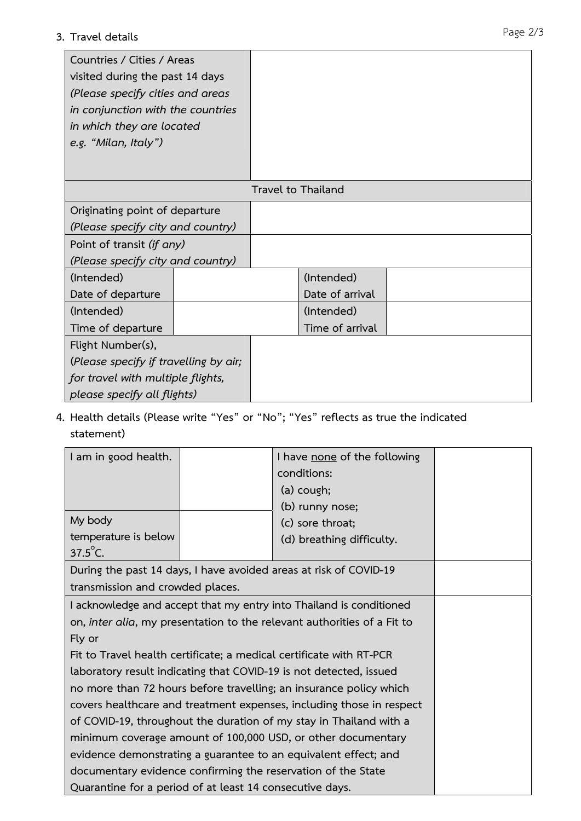## **3. Travel details**

| Countries / Cities / Areas<br>visited during the past 14 days<br>(Please specify cities and areas<br>in conjunction with the countries<br>in which they are located<br>e.g. "Milan, Italy") |  |                    |  |
|---------------------------------------------------------------------------------------------------------------------------------------------------------------------------------------------|--|--------------------|--|
|                                                                                                                                                                                             |  | Travel to Thailand |  |
| Originating point of departure                                                                                                                                                              |  |                    |  |
| (Please specify city and country)                                                                                                                                                           |  |                    |  |
| Point of transit (if any)                                                                                                                                                                   |  |                    |  |
| (Please specify city and country)                                                                                                                                                           |  |                    |  |
| (Intended)                                                                                                                                                                                  |  | (Intended)         |  |
| Date of departure                                                                                                                                                                           |  | Date of arrival    |  |
| (Intended)                                                                                                                                                                                  |  | (Intended)         |  |
| Time of departure                                                                                                                                                                           |  | Time of arrival    |  |
| Flight Number(s),                                                                                                                                                                           |  |                    |  |
| (Please specify if travelling by air;                                                                                                                                                       |  |                    |  |
| for travel with multiple flights,                                                                                                                                                           |  |                    |  |
| please specify all flights)                                                                                                                                                                 |  |                    |  |

**4. Health details (Please write "Yes" or "No"; "Yes" reflects as true the indicated statement)** 

| I am in good health.                                                    |  | I have none of the following |  |  |  |  |
|-------------------------------------------------------------------------|--|------------------------------|--|--|--|--|
|                                                                         |  | conditions:                  |  |  |  |  |
|                                                                         |  | (a) cough;                   |  |  |  |  |
|                                                                         |  | (b) runny nose;              |  |  |  |  |
| My body                                                                 |  | (c) sore throat;             |  |  |  |  |
| temperature is below                                                    |  | (d) breathing difficulty.    |  |  |  |  |
| $37.5^{\circ}$ C.                                                       |  |                              |  |  |  |  |
| During the past 14 days, I have avoided areas at risk of COVID-19       |  |                              |  |  |  |  |
| transmission and crowded places.                                        |  |                              |  |  |  |  |
| I acknowledge and accept that my entry into Thailand is conditioned     |  |                              |  |  |  |  |
| on, inter alia, my presentation to the relevant authorities of a Fit to |  |                              |  |  |  |  |
| Fly or                                                                  |  |                              |  |  |  |  |
| Fit to Travel health certificate; a medical certificate with RT-PCR     |  |                              |  |  |  |  |
| laboratory result indicating that COVID-19 is not detected, issued      |  |                              |  |  |  |  |
| no more than 72 hours before travelling; an insurance policy which      |  |                              |  |  |  |  |
| covers healthcare and treatment expenses, including those in respect    |  |                              |  |  |  |  |
| of COVID-19, throughout the duration of my stay in Thailand with a      |  |                              |  |  |  |  |
| minimum coverage amount of 100,000 USD, or other documentary            |  |                              |  |  |  |  |
| evidence demonstrating a guarantee to an equivalent effect; and         |  |                              |  |  |  |  |
| documentary evidence confirming the reservation of the State            |  |                              |  |  |  |  |
| Quarantine for a period of at least 14 consecutive days.                |  |                              |  |  |  |  |